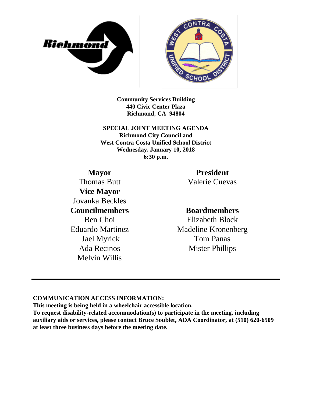



**Community Services Building 440 Civic Center Plaza Richmond, CA 94804**

**SPECIAL JOINT MEETING AGENDA Richmond City Council and West Contra Costa Unified School District Wednesday, January 10, 2018 6:30 p.m.**

## **Mayor**

Thomas Butt **Vice Mayor** Jovanka Beckles **Councilmembers** Ben Choi Eduardo Martinez Jael Myrick Ada Recinos Melvin Willis

### **President**

Valerie Cuevas

### **Boardmembers**

Elizabeth Block Madeline Kronenberg Tom Panas Mister Phillips

### **COMMUNICATION ACCESS INFORMATION:**

**This meeting is being held in a wheelchair accessible location.**

**To request disability-related accommodation(s) to participate in the meeting, including auxiliary aids or services, please contact Bruce Soublet, ADA Coordinator, at (510) 620-6509 at least three business days before the meeting date.**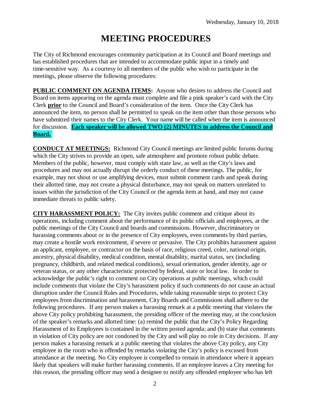# **MEETING PROCEDURES**

The City of Richmond encourages community participation at its Council and Board meetings and has established procedures that are intended to accommodate public input in a timely and time-sensitive way. As a courtesy to all members of the public who wish to participate in the meetings, please observe the following procedures:

**PUBLIC COMMENT ON AGENDA ITEMS:** Anyone who desires to address the Council and Board on items appearing on the agenda must complete and file a pink speaker's card with the City Clerk **prior** to the Council and Board's consideration of the item. Once the City Clerk has announced the item, no person shall be permitted to speak on the item other than those persons who have submitted their names to the City Clerk. Your name will be called when the item is announced for discussion. **Each speaker will be allowed TWO (2) MINUTES to address the Council and Board..**

**CONDUCT AT MEETINGS:** Richmond City Council meetings are limited public forums during which the City strives to provide an open, safe atmosphere and promote robust public debate. Members of the public, however, must comply with state law, as well as the City's laws and procedures and may not actually disrupt the orderly conduct of these meetings. The public, for example, may not shout or use amplifying devices, must submit comment cards and speak during their allotted time, may not create a physical disturbance, may not speak on matters unrelated to issues within the jurisdiction of the City Council or the agenda item at hand, and may not cause immediate threats to public safety.

**CITY HARASSMENT POLICY:** The City invites public comment and critique about its operations, including comment about the performance of its public officials and employees, at the public meetings of the City Council and boards and commissions. However, discriminatory or harassing comments about or in the presence of City employees, even comments by third parties, may create a hostile work environment, if severe or pervasive. The City prohibits harassment against an applicant, employee, or contractor on the basis of race, religious creed, color, national origin, ancestry, physical disability, medical condition, mental disability, marital status, sex (including pregnancy, childbirth, and related medical conditions), sexual orientation, gender identity, age or veteran status, or any other characteristic protected by federal, state or local law. In order to acknowledge the public's right to comment on City operations at public meetings, which could include comments that violate the City's harassment policy if such comments do not cause an actual disruption under the Council Rules and Procedures, while taking reasonable steps to protect City employees from discrimination and harassment, City Boards and Commissions shall adhere to the following procedures. If any person makes a harassing remark at a public meeting that violates the above City policy prohibiting harassment, the presiding officer of the meeting may, at the conclusion of the speaker's remarks and allotted time: (a) remind the public that the City's Policy Regarding Harassment of its Employees is contained in the written posted agenda; and (b) state that comments in violation of City policy are not condoned by the City and will play no role in City decisions. If any person makes a harassing remark at a public meeting that violates the above City policy, any City employee in the room who is offended by remarks violating the City's policy is excused from attendance at the meeting. No City employee is compelled to remain in attendance where it appears likely that speakers will make further harassing comments. If an employee leaves a City meeting for this reason, the presiding officer may send a designee to notify any offended employee who has left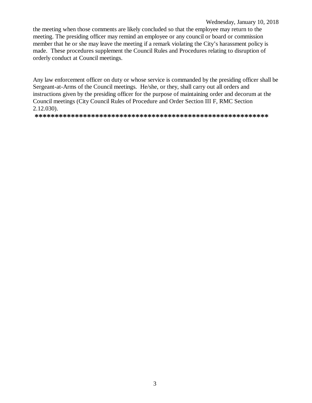#### Wednesday, January 10, 2018

the meeting when those comments are likely concluded so that the employee may return to the meeting. The presiding officer may remind an employee or any council or board or commission member that he or she may leave the meeting if a remark violating the City's harassment policy is made. These procedures supplement the Council Rules and Procedures relating to disruption of orderly conduct at Council meetings.

Any law enforcement officer on duty or whose service is commanded by the presiding officer shall be Sergeant-at-Arms of the Council meetings. He/she, or they, shall carry out all orders and instructions given by the presiding officer for the purpose of maintaining order and decorum at the Council meetings (City Council Rules of Procedure and Order Section III F, RMC Section  $2.12.030$ ).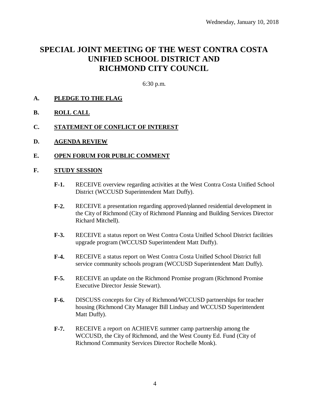## **SPECIAL JOINT MEETING OF THE WEST CONTRA COSTA UNIFIED SCHOOL DISTRICT AND RICHMOND CITY COUNCIL**

6:30 p.m.

- **A. PLEDGE TO THE FLAG**
- **B. ROLL CALL**
- **C. STATEMENT OF CONFLICT OF INTEREST**
- **D. AGENDA REVIEW**
- **E. OPEN FORUM FOR PUBLIC COMMENT**

### **F. STUDY SESSION**

- **F-1.** RECEIVE overview regarding activities at the West Contra Costa Unified School District (WCCUSD Superintendent Matt Duffy).
- **F-2.** RECEIVE a presentation regarding approved/planned residential development in the City of Richmond (City of Richmond Planning and Building Services Director Richard Mitchell).
- **F-3.** RECEIVE a status report on West Contra Costa Unified School District facilities upgrade program (WCCUSD Superintendent Matt Duffy).
- **F-4.** RECEIVE a status report on West Contra Costa Unified School District full service community schools program (WCCUSD Superintendent Matt Duffy).
- **F-5.** RECEIVE an update on the Richmond Promise program (Richmond Promise Executive Director Jessie Stewart).
- **F-6.** DISCUSS concepts for City of Richmond/WCCUSD partnerships for teacher housing (Richmond City Manager Bill Lindsay and WCCUSD Superintendent Matt Duffy).
- **F-7.** RECEIVE a report on ACHIEVE summer camp partnership among the WCCUSD, the City of Richmond, and the West County Ed. Fund (City of Richmond Community Services Director Rochelle Monk).